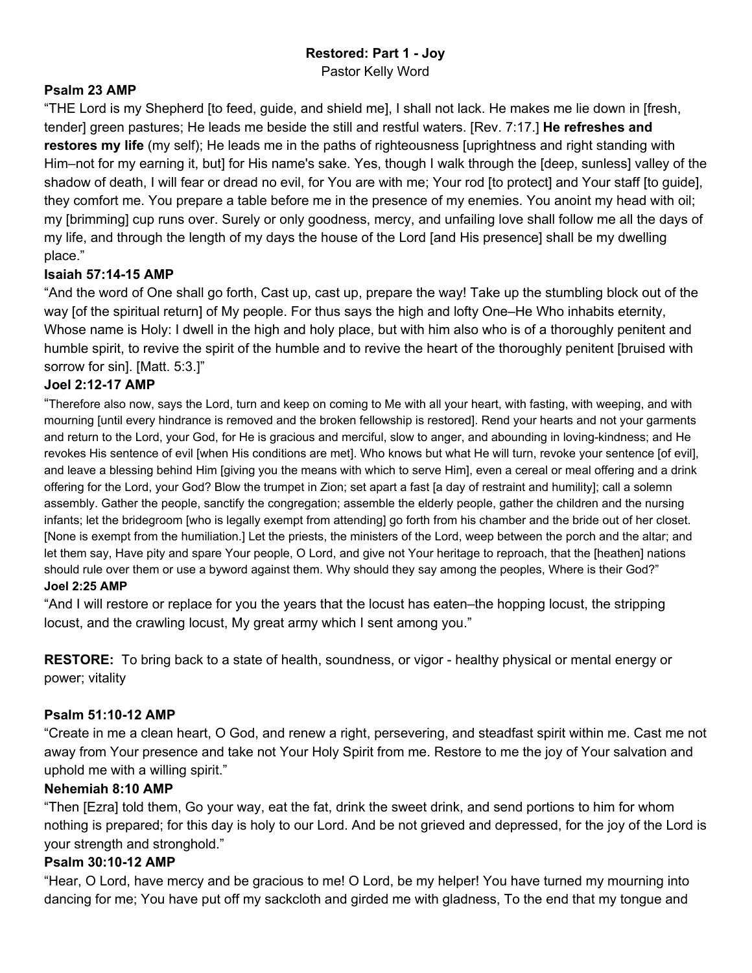# **Restored: Part 1 Joy**

Pastor Kelly Word

# **Psalm 23 AMP**

"THE Lord is my Shepherd [to feed, guide, and shield me], I shall not lack. He makes me lie down in [fresh, tender] green pastures; He leads me beside the still and restful waters. [Rev. 7:17.] **He refreshes and restores my life**(my self); He leads me in the paths of righteousness [uprightness and right standing with Him–not for my earning it, but] for His name's sake. Yes, though I walk through the [deep, sunless] valley of the shadow of death, I will fear or dread no evil, for You are with me; Your rod [to protect] and Your staff [to guide], they comfort me. You prepare a table before me in the presence of my enemies. You anoint my head with oil; my [brimming] cup runs over. Surely or only goodness, mercy, and unfailing love shall follow me all the days of my life, and through the length of my days the house of the Lord [and His presence] shall be my dwelling place."

# **Isaiah 57:1415 AMP**

"And the word of One shall go forth, Cast up, cast up, prepare the way! Take up the stumbling block out of the way [of the spiritual return] of My people. For thus says the high and lofty One–He Who inhabits eternity, Whose name is Holy: I dwell in the high and holy place, but with him also who is of a thoroughly penitent and humble spirit, to revive the spirit of the humble and to revive the heart of the thoroughly penitent [bruised with sorrow for sin]. [Matt. 5:3.]"

# **Joel 2:1217 AMP**

"Therefore also now, says the Lord, turn and keep on coming to Me with all your heart, with fasting, with weeping, and with mourning [until every hindrance is removed and the broken fellowship is restored]. Rend your hearts and not your garments and return to the Lord, your God, for He is gracious and merciful, slow to anger, and abounding in loving-kindness; and He revokes His sentence of evil [when His conditions are met]. Who knows but what He will turn, revoke your sentence [of evil], and leave a blessing behind Him [giving you the means with which to serve Him], even a cereal or meal offering and a drink offering for the Lord, your God? Blow the trumpet in Zion; set apart a fast [a day of restraint and humility]; call a solemn assembly. Gather the people, sanctify the congregation; assemble the elderly people, gather the children and the nursing infants; let the bridegroom [who is legally exempt from attending] go forth from his chamber and the bride out of her closet. [None is exempt from the humiliation.] Let the priests, the ministers of the Lord, weep between the porch and the altar; and let them say, Have pity and spare Your people, O Lord, and give not Your heritage to reproach, that the [heathen] nations should rule over them or use a byword against them. Why should they say among the peoples, Where is their God?" **Joel 2:25 AMP**

"And I will restore or replace for you the years that the locust has eaten–the hopping locust, the stripping locust, and the crawling locust, My great army which I sent among you."

**RESTORE:** To bring back to a state of health, soundness, or vigor - healthy physical or mental energy or power; vitality

# **Psalm 51:10-12 AMP**

"Create in me a clean heart, O God, and renew a right, persevering, and steadfast spirit within me. Cast me not away from Your presence and take not Your Holy Spirit from me. Restore to me the joy of Your salvation and uphold me with a willing spirit."

# **Nehemiah 8:10 AMP**

"Then [Ezra] told them, Go your way, eat the fat, drink the sweet drink, and send portions to him for whom nothing is prepared; for this day is holy to our Lord. And be not grieved and depressed, for the joy of the Lord is your strength and stronghold."

# **Psalm 30:10-12 AMP**

"Hear, O Lord, have mercy and be gracious to me! O Lord, be my helper! You have turned my mourning into dancing for me; You have put off my sackcloth and girded me with gladness, To the end that my tongue and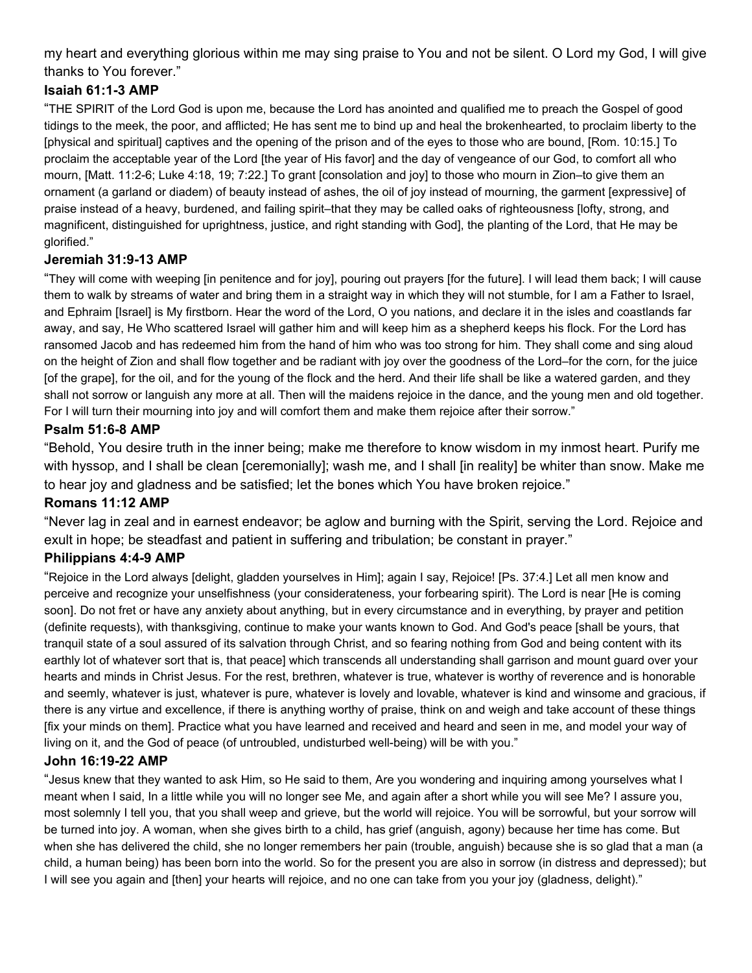my heart and everything glorious within me may sing praise to You and not be silent. O Lord my God, I will give thanks to You forever."

# **Isaiah 61:13 AMP**

"THE SPIRIT of the Lord God is upon me, because the Lord has anointed and qualified me to preach the Gospel of good tidings to the meek, the poor, and afflicted; He has sent me to bind up and heal the brokenhearted, to proclaim liberty to the [physical and spiritual] captives and the opening of the prison and of the eyes to those who are bound, [Rom. 10:15.] To proclaim the acceptable year of the Lord [the year of His favor] and the day of vengeance of our God, to comfort all who mourn, [Matt. 11:26; Luke 4:18, 19; 7:22.] To grant [consolation and joy] to those who mourn in Zion–to give them an ornament (a garland or diadem) of beauty instead of ashes, the oil of joy instead of mourning, the garment [expressive] of praise instead of a heavy, burdened, and failing spirit–that they may be called oaks of righteousness [lofty, strong, and magnificent, distinguished for uprightness, justice, and right standing with God], the planting of the Lord, that He may be glorified."

# **Jeremiah 31:913 AMP**

"They will come with weeping [in penitence and for joy], pouring out prayers [for the future]. I will lead them back; I will cause them to walk by streams of water and bring them in a straight way in which they will not stumble, for I am a Father to Israel, and Ephraim [Israel] is My firstborn. Hear the word of the Lord, O you nations, and declare it in the isles and coastlands far away, and say, He Who scattered Israel will gather him and will keep him as a shepherd keeps his flock. For the Lord has ransomed Jacob and has redeemed him from the hand of him who was too strong for him. They shall come and sing aloud on the height of Zion and shall flow together and be radiant with joy over the goodness of the Lord–for the corn, for the juice [of the grape], for the oil, and for the young of the flock and the herd. And their life shall be like a watered garden, and they shall not sorrow or languish any more at all. Then will the maidens rejoice in the dance, and the young men and old together. For I will turn their mourning into joy and will comfort them and make them rejoice after their sorrow."

## **Psalm 51:68 AMP**

"Behold, You desire truth in the inner being; make me therefore to know wisdom in my inmost heart. Purify me with hyssop, and I shall be clean [ceremonially]; wash me, and I shall [in reality] be whiter than snow. Make me to hear joy and gladness and be satisfied; let the bones which You have broken rejoice."

## **Romans 11:12 AMP**

"Never lag in zeal and in earnest endeavor; be aglow and burning with the Spirit, serving the Lord. Rejoice and exult in hope; be steadfast and patient in suffering and tribulation; be constant in prayer."

## **Philippians 4:49 AMP**

"Rejoice in the Lord always [delight, gladden yourselves in Him]; again I say, Rejoice! [Ps. 37:4.] Let all men know and perceive and recognize your unselfishness (your considerateness, your forbearing spirit). The Lord is near [He is coming soon]. Do not fret or have any anxiety about anything, but in every circumstance and in everything, by prayer and petition (definite requests), with thanksgiving, continue to make your wants known to God. And God's peace [shall be yours, that tranquil state of a soul assured of its salvation through Christ, and so fearing nothing from God and being content with its earthly lot of whatever sort that is, that peace] which transcends all understanding shall garrison and mount guard over your hearts and minds in Christ Jesus. For the rest, brethren, whatever is true, whatever is worthy of reverence and is honorable and seemly, whatever is just, whatever is pure, whatever is lovely and lovable, whatever is kind and winsome and gracious, if there is any virtue and excellence, if there is anything worthy of praise, think on and weigh and take account of these things [fix your minds on them]. Practice what you have learned and received and heard and seen in me, and model your way of living on it, and the God of peace (of untroubled, undisturbed well-being) will be with you."

## **John 16:1922 AMP**

"Jesus knew that they wanted to ask Him, so He said to them, Are you wondering and inquiring among yourselves what I meant when I said, In a little while you will no longer see Me, and again after a short while you will see Me? I assure you, most solemnly I tell you, that you shall weep and grieve, but the world will rejoice. You will be sorrowful, but your sorrow will be turned into joy. A woman, when she gives birth to a child, has grief (anguish, agony) because her time has come. But when she has delivered the child, she no longer remembers her pain (trouble, anguish) because she is so glad that a man (a child, a human being) has been born into the world. So for the present you are also in sorrow (in distress and depressed); but I will see you again and [then] your hearts will rejoice, and no one can take from you your joy (gladness, delight)."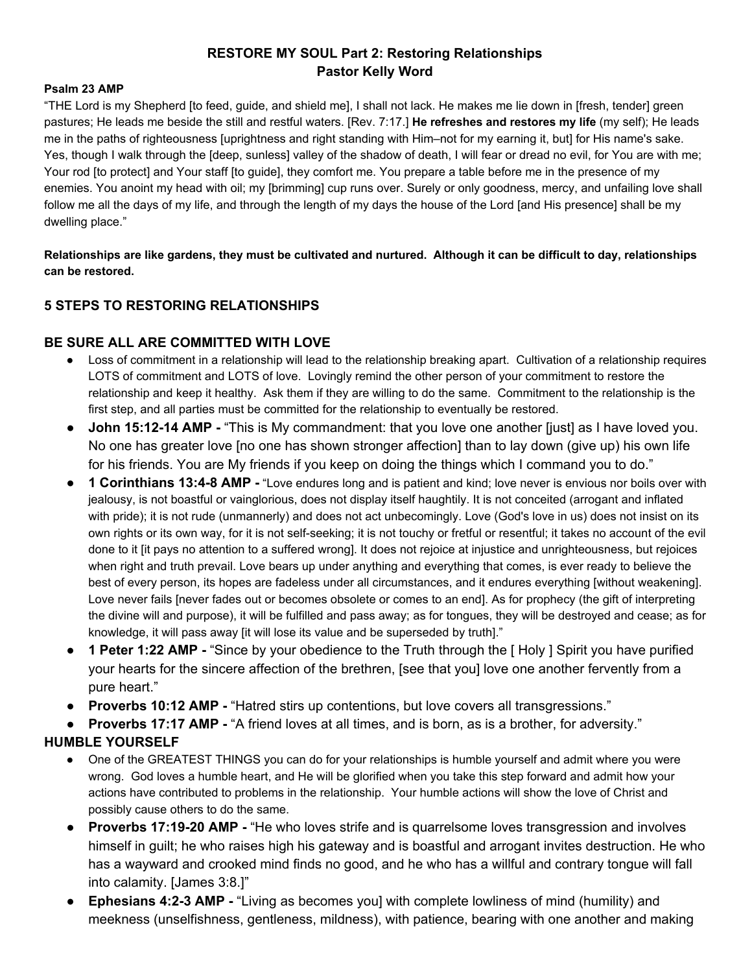# **RESTORE MY SOUL Part 2: Restoring Relationships Pastor Kelly Word**

## **Psalm 23 AMP**

"THE Lord is my Shepherd [to feed, guide, and shield me], I shall not lack. He makes me lie down in [fresh, tender] green pastures; He leads me beside the still and restful waters. [Rev. 7:17.] **He refreshes and restores my life**(my self); He leads me in the paths of righteousness [uprightness and right standing with Him–not for my earning it, but] for His name's sake. Yes, though I walk through the [deep, sunless] valley of the shadow of death, I will fear or dread no evil, for You are with me; Your rod [to protect] and Your staff [to guide], they comfort me. You prepare a table before me in the presence of my enemies. You anoint my head with oil; my [brimming] cup runs over. Surely or only goodness, mercy, and unfailing love shall follow me all the days of my life, and through the length of my days the house of the Lord [and His presence] shall be my dwelling place."

Relationships are like gardens, they must be cultivated and nurtured. Although it can be difficult to day, relationships **can be restored.**

# **5 STEPS TO RESTORING RELATIONSHIPS**

## **BE SURE ALL ARE COMMITTED WITH LOVE**

- Loss of commitment in a relationship will lead to the relationship breaking apart. Cultivation of a relationship requires LOTS of commitment and LOTS of love. Lovingly remind the other person of your commitment to restore the relationship and keep it healthy. Ask them if they are willing to do the same. Commitment to the relationship is the first step, and all parties must be committed for the relationship to eventually be restored.
- **● John 15:1214 AMP** "This is My commandment: that you love one another [just] as I have loved you. No one has greater love [no one has shown stronger affection] than to lay down (give up) his own life for his friends. You are My friends if you keep on doing the things which I command you to do."
- **● 1 Corinthians 13:48 AMP** "Love endures long and is patient and kind; love never is envious nor boils over with jealousy, is not boastful or vainglorious, does not display itself haughtily. It is not conceited (arrogant and inflated with pride); it is not rude (unmannerly) and does not act unbecomingly. Love (God's love in us) does not insist on its own rights or its own way, for it is not self-seeking; it is not touchy or fretful or resentful; it takes no account of the evil done to it [it pays no attention to a suffered wrong]. It does not rejoice at injustice and unrighteousness, but rejoices when right and truth prevail. Love bears up under anything and everything that comes, is ever ready to believe the best of every person, its hopes are fadeless under all circumstances, and it endures everything [without weakening]. Love never fails [never fades out or becomes obsolete or comes to an end]. As for prophecy (the gift of interpreting the divine will and purpose), it will be fulfilled and pass away; as for tongues, they will be destroyed and cease; as for knowledge, it will pass away [it will lose its value and be superseded by truth]."
- **● 1 Peter 1:22 AMP** "Since by your obedience to the Truth through the [ Holy ] Spirit you have purified your hearts for the sincere affection of the brethren, [see that you] love one another fervently from a pure heart."
- **● Proverbs 10:12 AMP** "Hatred stirs up contentions, but love covers all transgressions."
- **● Proverbs 17:17 AMP** "A friend loves at all times, and is born, as is a brother, for adversity."

# **HUMBLE YOURSELF**

- One of the GREATEST THINGS you can do for your relationships is humble yourself and admit where you were wrong. God loves a humble heart, and He will be glorified when you take this step forward and admit how your actions have contributed to problems in the relationship. Your humble actions will show the love of Christ and possibly cause others to do the same.
- **● Proverbs 17:1920 AMP** "He who loves strife and is quarrelsome loves transgression and involves himself in guilt; he who raises high his gateway and is boastful and arrogant invites destruction. He who has a wayward and crooked mind finds no good, and he who has a willful and contrary tongue will fall into calamity. [James 3:8.]"
- **● Ephesians 4:23 AMP** "Living as becomes you] with complete lowliness of mind (humility) and meekness (unselfishness, gentleness, mildness), with patience, bearing with one another and making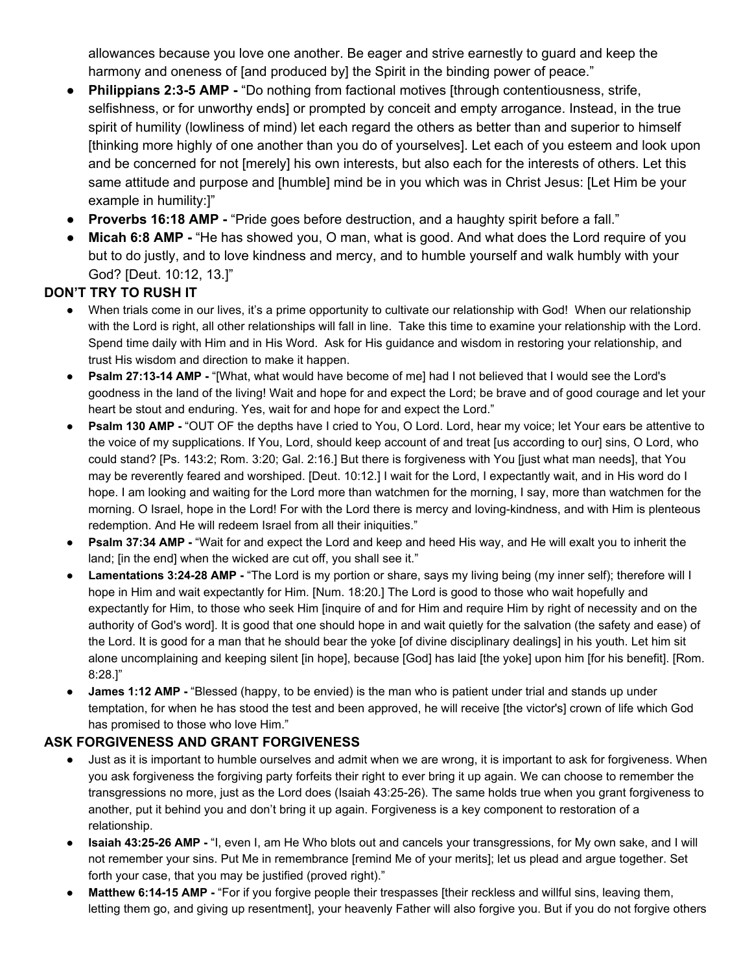allowances because you love one another. Be eager and strive earnestly to guard and keep the harmony and oneness of [and produced by] the Spirit in the binding power of peace."

- **Philippians 2:3-5 AMP** "Do nothing from factional motives [through contentiousness, strife, selfishness, or for unworthy ends] or prompted by conceit and empty arrogance. Instead, in the true spirit of humility (lowliness of mind) let each regard the others as better than and superior to himself [thinking more highly of one another than you do of yourselves]. Let each of you esteem and look upon and be concerned for not [merely] his own interests, but also each for the interests of others. Let this same attitude and purpose and [humble] mind be in you which was in Christ Jesus: [Let Him be your example in humility:]"
- **● Proverbs 16:18 AMP** "Pride goes before destruction, and a haughty spirit before a fall."
- **Micah 6:8 AMP** "He has showed you, O man, what is good. And what does the Lord require of you but to do justly, and to love kindness and mercy, and to humble yourself and walk humbly with your God? [Deut. 10:12, 13.]"

# **DON'T TRY TO RUSH IT**

- When trials come in our lives, it's a prime opportunity to cultivate our relationship with God! When our relationship with the Lord is right, all other relationships will fall in line. Take this time to examine your relationship with the Lord. Spend time daily with Him and in His Word. Ask for His guidance and wisdom in restoring your relationship, and trust His wisdom and direction to make it happen.
- **● Psalm 27:1314 AMP** "[What, what would have become of me] had I not believed that I would see the Lord's goodness in the land of the living! Wait and hope for and expect the Lord; be brave and of good courage and let your heart be stout and enduring. Yes, wait for and hope for and expect the Lord."
- **● Psalm 130 AMP** "OUT OF the depths have I cried to You, O Lord. Lord, hear my voice; let Your ears be attentive to the voice of my supplications. If You, Lord, should keep account of and treat [us according to our] sins, O Lord, who could stand? [Ps. 143:2; Rom. 3:20; Gal. 2:16.] But there is forgiveness with You [just what man needs], that You may be reverently feared and worshiped. [Deut. 10:12.] I wait for the Lord, I expectantly wait, and in His word do I hope. I am looking and waiting for the Lord more than watchmen for the morning, I say, more than watchmen for the morning. O Israel, hope in the Lord! For with the Lord there is mercy and loving-kindness, and with Him is plenteous redemption. And He will redeem Israel from all their iniquities."
- **● Psalm 37:34 AMP** "Wait for and expect the Lord and keep and heed His way, and He will exalt you to inherit the land; [in the end] when the wicked are cut off, you shall see it."
- **● Lamentations 3:2428 AMP** "The Lord is my portion or share, says my living being (my inner self); therefore will I hope in Him and wait expectantly for Him. [Num. 18:20.] The Lord is good to those who wait hopefully and expectantly for Him, to those who seek Him [inquire of and for Him and require Him by right of necessity and on the authority of God's word]. It is good that one should hope in and wait quietly for the salvation (the safety and ease) of the Lord. It is good for a man that he should bear the yoke [of divine disciplinary dealings] in his youth. Let him sit alone uncomplaining and keeping silent [in hope], because [God] has laid [the yoke] upon him [for his benefit]. [Rom. 8:28.]"
- **● James 1:12 AMP** "Blessed (happy, to be envied) is the man who is patient under trial and stands up under temptation, for when he has stood the test and been approved, he will receive [the victor's] crown of life which God has promised to those who love Him."

# **ASK FORGIVENESS AND GRANT FORGIVENESS**

- Just as it is important to humble ourselves and admit when we are wrong, it is important to ask for forgiveness. When you ask forgiveness the forgiving party forfeits their right to ever bring it up again. We can choose to remember the transgressions no more, just as the Lord does (Isaiah 43:2526). The same holds true when you grant forgiveness to another, put it behind you and don't bring it up again. Forgiveness is a key component to restoration of a relationship.
- **Isaiah 43:25-26 AMP** "I, even I, am He Who blots out and cancels your transgressions, for My own sake, and I will not remember your sins. Put Me in remembrance [remind Me of your merits]; let us plead and argue together. Set forth your case, that you may be justified (proved right)."
- **Matthew 6:14-15 AMP** "For if you forgive people their trespasses [their reckless and willful sins, leaving them, letting them go, and giving up resentment], your heavenly Father will also forgive you. But if you do not forgive others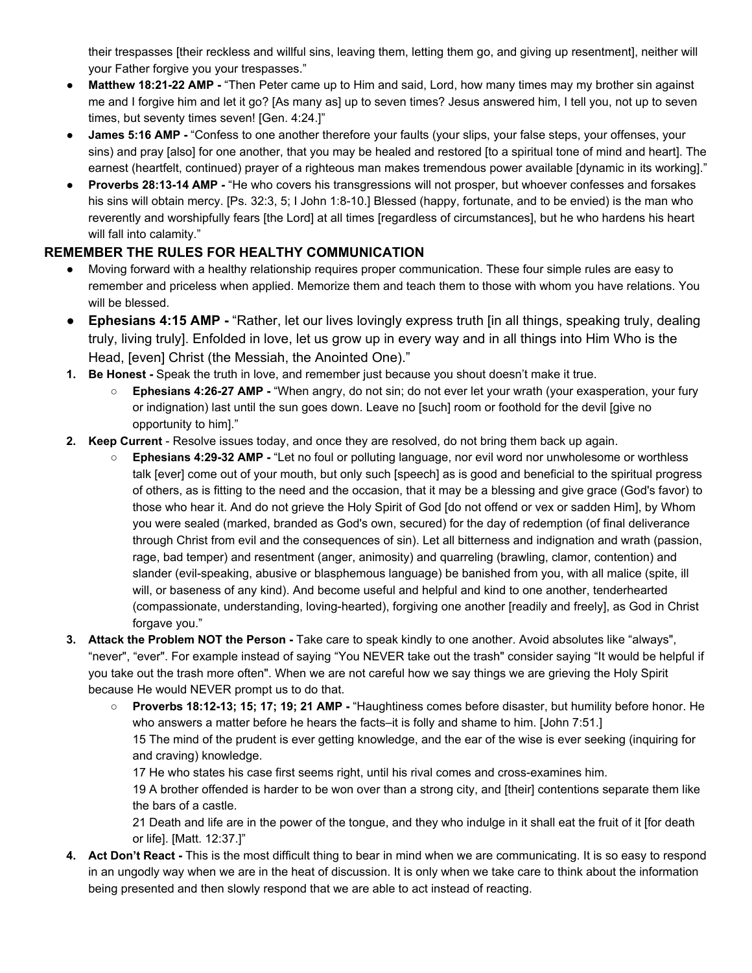their trespasses [their reckless and willful sins, leaving them, letting them go, and giving up resentment], neither will your Father forgive you your trespasses."

- **● Matthew 18:2122 AMP** "Then Peter came up to Him and said, Lord, how many times may my brother sin against me and I forgive him and let it go? [As many as] up to seven times? Jesus answered him, I tell you, not up to seven times, but seventy times seven! [Gen. 4:24.]"
- **● James 5:16 AMP** "Confess to one another therefore your faults (your slips, your false steps, your offenses, your sins) and pray [also] for one another, that you may be healed and restored [to a spiritual tone of mind and heart]. The earnest (heartfelt, continued) prayer of a righteous man makes tremendous power available [dynamic in its working]."
- **● Proverbs 28:1314 AMP** "He who covers his transgressions will not prosper, but whoever confesses and forsakes his sins will obtain mercy. [Ps. 32:3, 5; I John 1:8-10.] Blessed (happy, fortunate, and to be envied) is the man who reverently and worshipfully fears [the Lord] at all times [regardless of circumstances], but he who hardens his heart will fall into calamity."

# **REMEMBER THE RULES FOR HEALTHY COMMUNICATION**

- Moving forward with a healthy relationship requires proper communication. These four simple rules are easy to remember and priceless when applied. Memorize them and teach them to those with whom you have relations. You will be blessed.
- **● Ephesians 4:15 AMP** "Rather, let our lives lovingly express truth [in all things, speaking truly, dealing truly, living truly]. Enfolded in love, let us grow up in every way and in all things into Him Who is the Head, [even] Christ (the Messiah, the Anointed One)."
- **1. Be Honest** Speak the truth in love, and remember just because you shout doesn't make it true.
	- **○ Ephesians 4:2627 AMP** "When angry, do not sin; do not ever let your wrath (your exasperation, your fury or indignation) last until the sun goes down. Leave no [such] room or foothold for the devil [give no opportunity to him]."
- **2. Keep Current** Resolve issues today, and once they are resolved, do not bring them back up again.
	- **Ephesians 4:29-32 AMP** "Let no foul or polluting language, nor evil word nor unwholesome or worthless talk [ever] come out of your mouth, but only such [speech] as is good and beneficial to the spiritual progress of others, as is fitting to the need and the occasion, that it may be a blessing and give grace (God's favor) to those who hear it. And do not grieve the Holy Spirit of God [do not offend or vex or sadden Him], by Whom you were sealed (marked, branded as God's own, secured) for the day of redemption (of final deliverance through Christ from evil and the consequences of sin). Let all bitterness and indignation and wrath (passion, rage, bad temper) and resentment (anger, animosity) and quarreling (brawling, clamor, contention) and slander (evil-speaking, abusive or blasphemous language) be banished from you, with all malice (spite, ill will, or baseness of any kind). And become useful and helpful and kind to one another, tenderhearted (compassionate, understanding, loving-hearted), forgiving one another [readily and freely], as God in Christ forgave you."
- **3. Attack the Problem NOT the Person** Take care to speak kindly to one another. Avoid absolutes like "always", "never", "ever". For example instead of saying "You NEVER take out the trash" consider saying "It would be helpful if you take out the trash more often". When we are not careful how we say things we are grieving the Holy Spirit because He would NEVER prompt us to do that.
	- **○ Proverbs 18:1213; 15; 17; 19; 21 AMP** "Haughtiness comes before disaster, but humility before honor. He who answers a matter before he hears the facts–it is folly and shame to him. [John 7:51.] 15 The mind of the prudent is ever getting knowledge, and the ear of the wise is ever seeking (inquiring for and craving) knowledge.
		- 17 He who states his case first seems right, until his rival comes and cross-examines him.

19 A brother offended is harder to be won over than a strong city, and [their] contentions separate them like the bars of a castle.

21 Death and life are in the power of the tongue, and they who indulge in it shall eat the fruit of it [for death or life]. [Matt. 12:37.]"

**4. Act Don't React** This is the most difficult thing to bear in mind when we are communicating. It is so easy to respond in an ungodly way when we are in the heat of discussion. It is only when we take care to think about the information being presented and then slowly respond that we are able to act instead of reacting.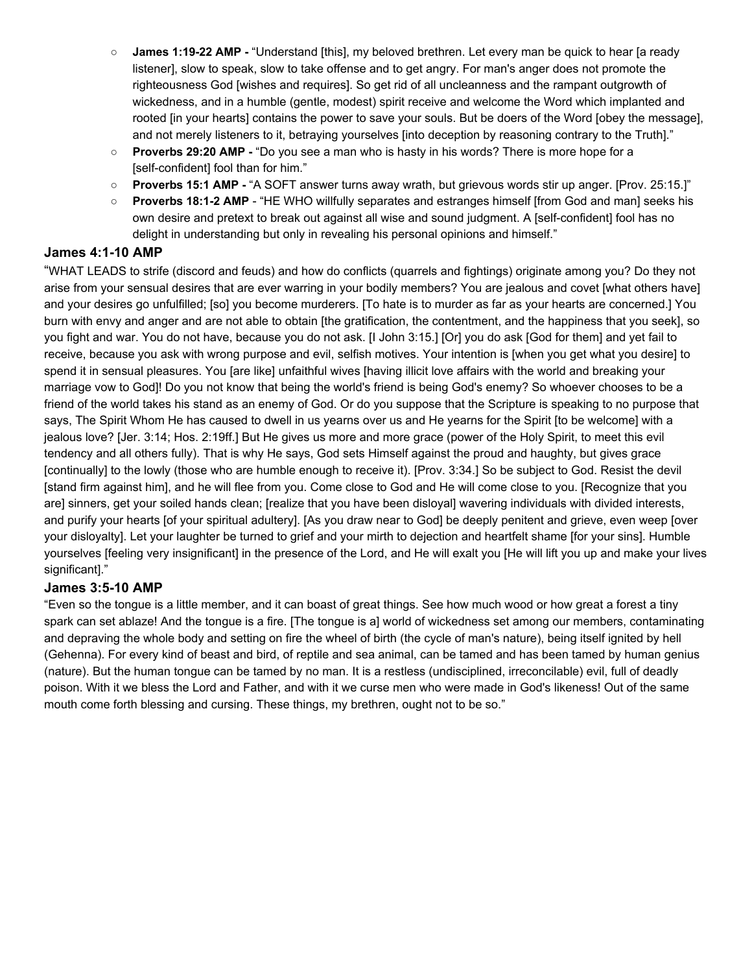- **○ James 1:1922 AMP** "Understand [this], my beloved brethren. Let every man be quick to hear [a ready listener], slow to speak, slow to take offense and to get angry. For man's anger does not promote the righteousness God [wishes and requires]. So get rid of all uncleanness and the rampant outgrowth of wickedness, and in a humble (gentle, modest) spirit receive and welcome the Word which implanted and rooted [in your hearts] contains the power to save your souls. But be doers of the Word [obey the message], and not merely listeners to it, betraying yourselves [into deception by reasoning contrary to the Truth]."
- **○ Proverbs 29:20 AMP** "Do you see a man who is hasty in his words? There is more hope for a [self-confident] fool than for him."
- **○ Proverbs 15:1 AMP** "A SOFT answer turns away wrath, but grievous words stir up anger. [Prov. 25:15.]"
- **○ Proverbs 18:12 AMP** "HE WHO willfully separates and estranges himself [from God and man] seeks his own desire and pretext to break out against all wise and sound judgment. A [self-confident] fool has no delight in understanding but only in revealing his personal opinions and himself."

## **James 4:110 AMP**

"WHAT LEADS to strife (discord and feuds) and how do conflicts (quarrels and fightings) originate among you? Do they not arise from your sensual desires that are ever warring in your bodily members? You are jealous and covet [what others have] and your desires go unfulfilled; [so] you become murderers. [To hate is to murder as far as your hearts are concerned.] You burn with envy and anger and are not able to obtain [the gratification, the contentment, and the happiness that you seek], so you fight and war. You do not have, because you do not ask. [I John 3:15.] [Or] you do ask [God for them] and yet fail to receive, because you ask with wrong purpose and evil, selfish motives. Your intention is [when you get what you desire] to spend it in sensual pleasures. You [are like] unfaithful wives [having illicit love affairs with the world and breaking your marriage vow to God]! Do you not know that being the world's friend is being God's enemy? So whoever chooses to be a friend of the world takes his stand as an enemy of God. Or do you suppose that the Scripture is speaking to no purpose that says, The Spirit Whom He has caused to dwell in us yearns over us and He yearns for the Spirit [to be welcome] with a jealous love? [Jer. 3:14; Hos. 2:19ff.] But He gives us more and more grace (power of the Holy Spirit, to meet this evil tendency and all others fully). That is why He says, God sets Himself against the proud and haughty, but gives grace [continually] to the lowly (those who are humble enough to receive it). [Prov. 3:34.] So be subject to God. Resist the devil [stand firm against him], and he will flee from you. Come close to God and He will come close to you. [Recognize that you are] sinners, get your soiled hands clean; [realize that you have been disloyal] wavering individuals with divided interests, and purify your hearts [of your spiritual adultery]. [As you draw near to God] be deeply penitent and grieve, even weep [over your disloyalty]. Let your laughter be turned to grief and your mirth to dejection and heartfelt shame [for your sins]. Humble yourselves [feeling very insignificant] in the presence of the Lord, and He will exalt you [He will lift you up and make your lives significant]."

## **James 3:510 AMP**

"Even so the tongue is a little member, and it can boast of great things. See how much wood or how great a forest a tiny spark can set ablaze! And the tongue is a fire. [The tongue is a] world of wickedness set among our members, contaminating and depraving the whole body and setting on fire the wheel of birth (the cycle of man's nature), being itself ignited by hell (Gehenna). For every kind of beast and bird, of reptile and sea animal, can be tamed and has been tamed by human genius (nature). But the human tongue can be tamed by no man. It is a restless (undisciplined, irreconcilable) evil, full of deadly poison. With it we bless the Lord and Father, and with it we curse men who were made in God's likeness! Out of the same mouth come forth blessing and cursing. These things, my brethren, ought not to be so."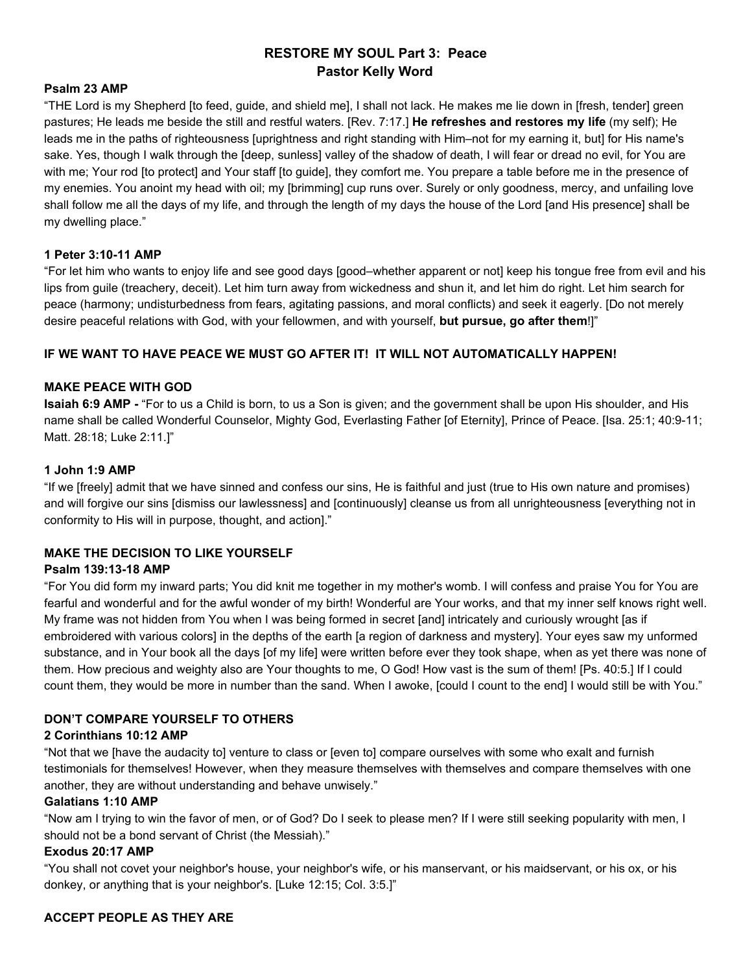# **RESTORE MY SOUL Part 3: Peace Pastor Kelly Word**

## **Psalm 23 AMP**

"THE Lord is my Shepherd [to feed, guide, and shield me], I shall not lack. He makes me lie down in [fresh, tender] green pastures; He leads me beside the still and restful waters. [Rev. 7:17.] **He refreshes and restores my life**(my self); He leads me in the paths of righteousness [uprightness and right standing with Him–not for my earning it, but] for His name's sake. Yes, though I walk through the [deep, sunless] valley of the shadow of death, I will fear or dread no evil, for You are with me; Your rod [to protect] and Your staff [to guide], they comfort me. You prepare a table before me in the presence of my enemies. You anoint my head with oil; my [brimming] cup runs over. Surely or only goodness, mercy, and unfailing love shall follow me all the days of my life, and through the length of my days the house of the Lord [and His presence] shall be my dwelling place."

### **1 Peter 3:1011 AMP**

"For let him who wants to enjoy life and see good days [good–whether apparent or not] keep his tongue free from evil and his lips from guile (treachery, deceit). Let him turn away from wickedness and shun it, and let him do right. Let him search for peace (harmony; undisturbedness from fears, agitating passions, and moral conflicts) and seek it eagerly. [Do not merely desire peaceful relations with God, with your fellowmen, and with yourself, **but pursue, go after them**!]"

## **IF WE WANT TO HAVE PEACE WE MUST GO AFTER IT! IT WILL NOT AUTOMATICALLY HAPPEN!**

### **MAKE PEACE WITH GOD**

**Isaiah 6:9 AMP** "For to us a Child is born, to us a Son is given; and the government shall be upon His shoulder, and His name shall be called Wonderful Counselor, Mighty God, Everlasting Father [of Eternity], Prince of Peace. [Isa. 25:1; 40:911; Matt. 28:18; Luke 2:11.]"

#### **1 John 1:9 AMP**

"If we [freely] admit that we have sinned and confess our sins, He is faithful and just (true to His own nature and promises) and will forgive our sins [dismiss our lawlessness] and [continuously] cleanse us from all unrighteousness [everything not in conformity to His will in purpose, thought, and action]."

## **MAKE THE DECISION TO LIKE YOURSELF**

#### **Psalm 139:13-18 AMP**

"For You did form my inward parts; You did knit me together in my mother's womb. I will confess and praise You for You are fearful and wonderful and for the awful wonder of my birth! Wonderful are Your works, and that my inner self knows right well. My frame was not hidden from You when I was being formed in secret [and] intricately and curiously wrought [as if embroidered with various colors] in the depths of the earth [a region of darkness and mystery]. Your eyes saw my unformed substance, and in Your book all the days [of my life] were written before ever they took shape, when as yet there was none of them. How precious and weighty also are Your thoughts to me, O God! How vast is the sum of them! [Ps. 40:5.] If I could count them, they would be more in number than the sand. When I awoke, [could I count to the end] I would still be with You."

## **DON'T COMPARE YOURSELF TO OTHERS**

#### **2 Corinthians 10:12 AMP**

"Not that we [have the audacity to] venture to class or [even to] compare ourselves with some who exalt and furnish testimonials for themselves! However, when they measure themselves with themselves and compare themselves with one another, they are without understanding and behave unwisely."

#### **Galatians 1:10 AMP**

"Now am I trying to win the favor of men, or of God? Do I seek to please men? If I were still seeking popularity with men, I should not be a bond servant of Christ (the Messiah)."

#### **Exodus 20:17 AMP**

"You shall not covet your neighbor's house, your neighbor's wife, or his manservant, or his maidservant, or his ox, or his donkey, or anything that is your neighbor's. [Luke 12:15; Col. 3:5.]"

#### **ACCEPT PEOPLE AS THEY ARE**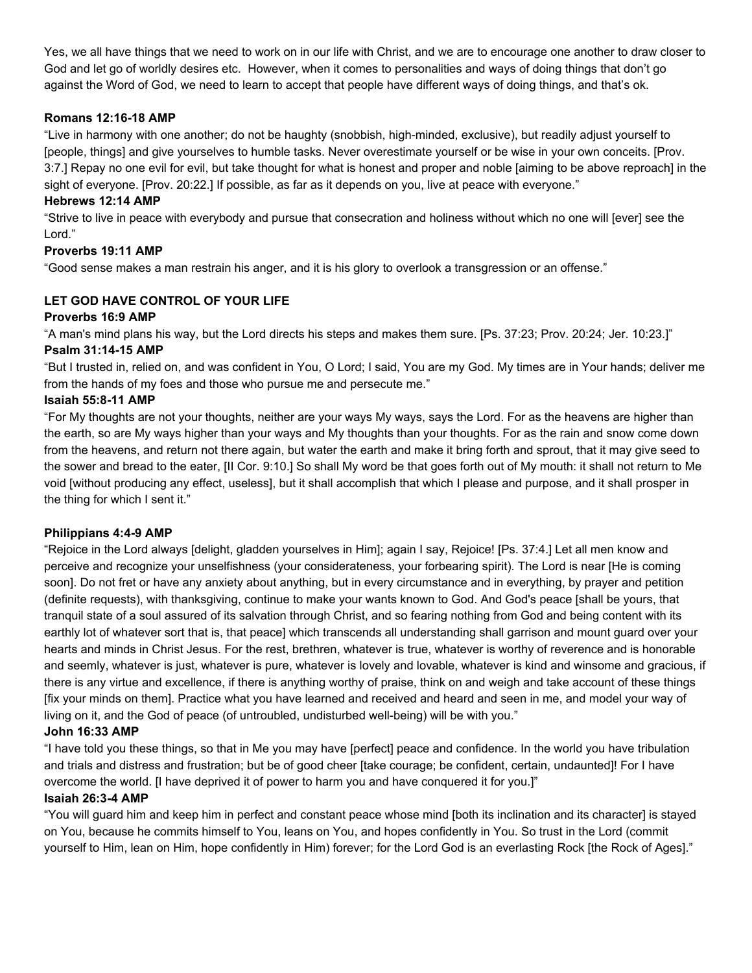Yes, we all have things that we need to work on in our life with Christ, and we are to encourage one another to draw closer to God and let go of worldly desires etc. However, when it comes to personalities and ways of doing things that don't go against the Word of God, we need to learn to accept that people have different ways of doing things, and that's ok.

## **Romans 12:16-18 AMP**

"Live in harmony with one another; do not be haughty (snobbish, high-minded, exclusive), but readily adjust yourself to [people, things] and give yourselves to humble tasks. Never overestimate yourself or be wise in your own conceits. [Prov. 3:7.] Repay no one evil for evil, but take thought for what is honest and proper and noble [aiming to be above reproach] in the sight of everyone. [Prov. 20:22.] If possible, as far as it depends on you, live at peace with everyone."

### **Hebrews 12:14 AMP**

"Strive to live in peace with everybody and pursue that consecration and holiness without which no one will [ever] see the Lord."

## **Proverbs 19:11 AMP**

"Good sense makes a man restrain his anger, and it is his glory to overlook a transgression or an offense."

## **LET GOD HAVE CONTROL OF YOUR LIFE**

### **Proverbs 16:9 AMP**

"A man's mind plans his way, but the Lord directs his steps and makes them sure. [Ps. 37:23; Prov. 20:24; Jer. 10:23.]" **Psalm 31:1415 AMP**

"But I trusted in, relied on, and was confident in You, O Lord; I said, You are my God. My times are in Your hands; deliver me from the hands of my foes and those who pursue me and persecute me."

### **Isaiah 55:811 AMP**

"For My thoughts are not your thoughts, neither are your ways My ways, says the Lord. For as the heavens are higher than the earth, so are My ways higher than your ways and My thoughts than your thoughts. For as the rain and snow come down from the heavens, and return not there again, but water the earth and make it bring forth and sprout, that it may give seed to the sower and bread to the eater, [II Cor. 9:10.] So shall My word be that goes forth out of My mouth: it shall not return to Me void [without producing any effect, useless], but it shall accomplish that which I please and purpose, and it shall prosper in the thing for which I sent it."

#### **Philippians 4:49 AMP**

"Rejoice in the Lord always [delight, gladden yourselves in Him]; again I say, Rejoice! [Ps. 37:4.] Let all men know and perceive and recognize your unselfishness (your considerateness, your forbearing spirit). The Lord is near [He is coming soon]. Do not fret or have any anxiety about anything, but in every circumstance and in everything, by prayer and petition (definite requests), with thanksgiving, continue to make your wants known to God. And God's peace [shall be yours, that tranquil state of a soul assured of its salvation through Christ, and so fearing nothing from God and being content with its earthly lot of whatever sort that is, that peace] which transcends all understanding shall garrison and mount guard over your hearts and minds in Christ Jesus. For the rest, brethren, whatever is true, whatever is worthy of reverence and is honorable and seemly, whatever is just, whatever is pure, whatever is lovely and lovable, whatever is kind and winsome and gracious, if there is any virtue and excellence, if there is anything worthy of praise, think on and weigh and take account of these things [fix your minds on them]. Practice what you have learned and received and heard and seen in me, and model your way of living on it, and the God of peace (of untroubled, undisturbed well-being) will be with you."

#### **John 16:33 AMP**

"I have told you these things, so that in Me you may have [perfect] peace and confidence. In the world you have tribulation and trials and distress and frustration; but be of good cheer [take courage; be confident, certain, undaunted]! For I have overcome the world. [I have deprived it of power to harm you and have conquered it for you.]"

## **Isaiah 26:34 AMP**

"You will guard him and keep him in perfect and constant peace whose mind [both its inclination and its character] is stayed on You, because he commits himself to You, leans on You, and hopes confidently in You. So trust in the Lord (commit yourself to Him, lean on Him, hope confidently in Him) forever; for the Lord God is an everlasting Rock [the Rock of Ages]."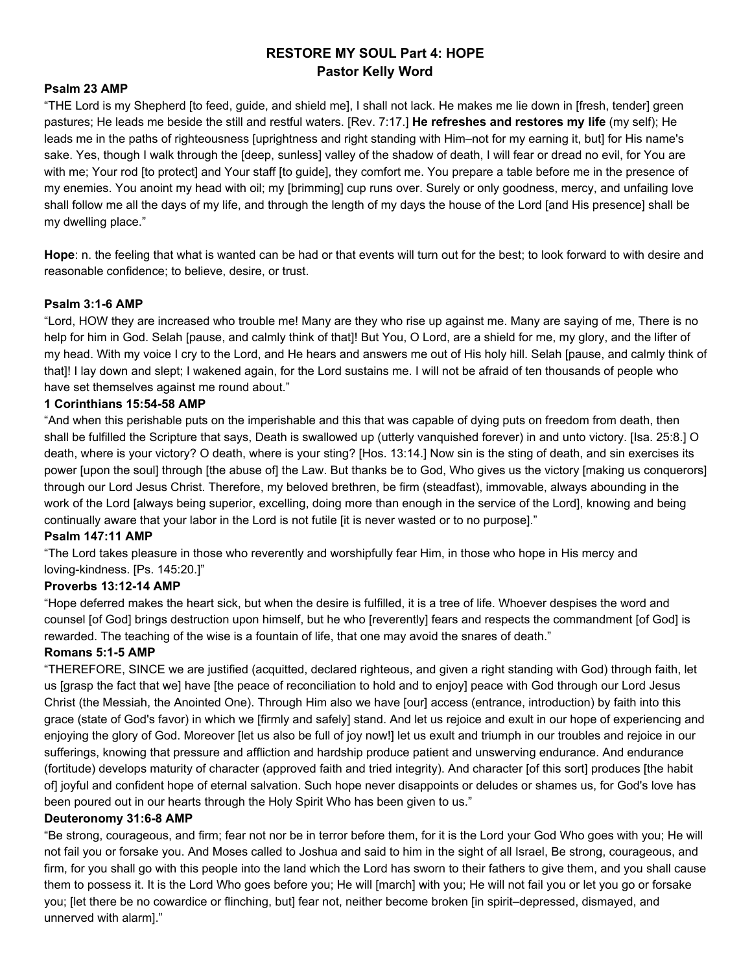# **RESTORE MY SOUL Part 4: HOPE Pastor Kelly Word**

## **Psalm 23 AMP**

"THE Lord is my Shepherd [to feed, guide, and shield me], I shall not lack. He makes me lie down in [fresh, tender] green pastures; He leads me beside the still and restful waters. [Rev. 7:17.] **He refreshes and restores my life**(my self); He leads me in the paths of righteousness [uprightness and right standing with Him–not for my earning it, but] for His name's sake. Yes, though I walk through the [deep, sunless] valley of the shadow of death, I will fear or dread no evil, for You are with me; Your rod [to protect] and Your staff [to guide], they comfort me. You prepare a table before me in the presence of my enemies. You anoint my head with oil; my [brimming] cup runs over. Surely or only goodness, mercy, and unfailing love shall follow me all the days of my life, and through the length of my days the house of the Lord [and His presence] shall be my dwelling place."

**Hope**: n. the feeling that what is wanted can be had or that events will turn out for the best; to look forward to with desire and reasonable confidence; to believe, desire, or trust.

## **Psalm 3:16 AMP**

"Lord, HOW they are increased who trouble me! Many are they who rise up against me. Many are saying of me, There is no help for him in God. Selah [pause, and calmly think of that]! But You, O Lord, are a shield for me, my glory, and the lifter of my head. With my voice I cry to the Lord, and He hears and answers me out of His holy hill. Selah [pause, and calmly think of that]! I lay down and slept; I wakened again, for the Lord sustains me. I will not be afraid of ten thousands of people who have set themselves against me round about."

## **1 Corinthians 15:5458 AMP**

"And when this perishable puts on the imperishable and this that was capable of dying puts on freedom from death, then shall be fulfilled the Scripture that says, Death is swallowed up (utterly vanquished forever) in and unto victory. [Isa. 25:8.] O death, where is your victory? O death, where is your sting? [Hos. 13:14.] Now sin is the sting of death, and sin exercises its power [upon the soul] through [the abuse of] the Law. But thanks be to God, Who gives us the victory [making us conquerors] through our Lord Jesus Christ. Therefore, my beloved brethren, be firm (steadfast), immovable, always abounding in the work of the Lord [always being superior, excelling, doing more than enough in the service of the Lord], knowing and being continually aware that your labor in the Lord is not futile [it is never wasted or to no purpose]."

## **Psalm 147:11 AMP**

"The Lord takes pleasure in those who reverently and worshipfully fear Him, in those who hope in His mercy and loving-kindness. [Ps. 145:20.]"

## **Proverbs 13:12-14 AMP**

"Hope deferred makes the heart sick, but when the desire is fulfilled, it is a tree of life. Whoever despises the word and counsel [of God] brings destruction upon himself, but he who [reverently] fears and respects the commandment [of God] is rewarded. The teaching of the wise is a fountain of life, that one may avoid the snares of death."

## **Romans 5:15 AMP**

"THEREFORE, SINCE we are justified (acquitted, declared righteous, and given a right standing with God) through faith, let us [grasp the fact that we] have [the peace of reconciliation to hold and to enjoy] peace with God through our Lord Jesus Christ (the Messiah, the Anointed One). Through Him also we have [our] access (entrance, introduction) by faith into this grace (state of God's favor) in which we [firmly and safely] stand. And let us rejoice and exult in our hope of experiencing and enjoying the glory of God. Moreover [let us also be full of joy now!] let us exult and triumph in our troubles and rejoice in our sufferings, knowing that pressure and affliction and hardship produce patient and unswerving endurance. And endurance (fortitude) develops maturity of character (approved faith and tried integrity). And character [of this sort] produces [the habit of] joyful and confident hope of eternal salvation. Such hope never disappoints or deludes or shames us, for God's love has been poured out in our hearts through the Holy Spirit Who has been given to us."

## **Deuteronomy 31:6-8 AMP**

"Be strong, courageous, and firm; fear not nor be in terror before them, for it is the Lord your God Who goes with you; He will not fail you or forsake you. And Moses called to Joshua and said to him in the sight of all Israel, Be strong, courageous, and firm, for you shall go with this people into the land which the Lord has sworn to their fathers to give them, and you shall cause them to possess it. It is the Lord Who goes before you; He will [march] with you; He will not fail you or let you go or forsake you; [let there be no cowardice or flinching, but] fear not, neither become broken [in spirit–depressed, dismayed, and unnerved with alarm]."